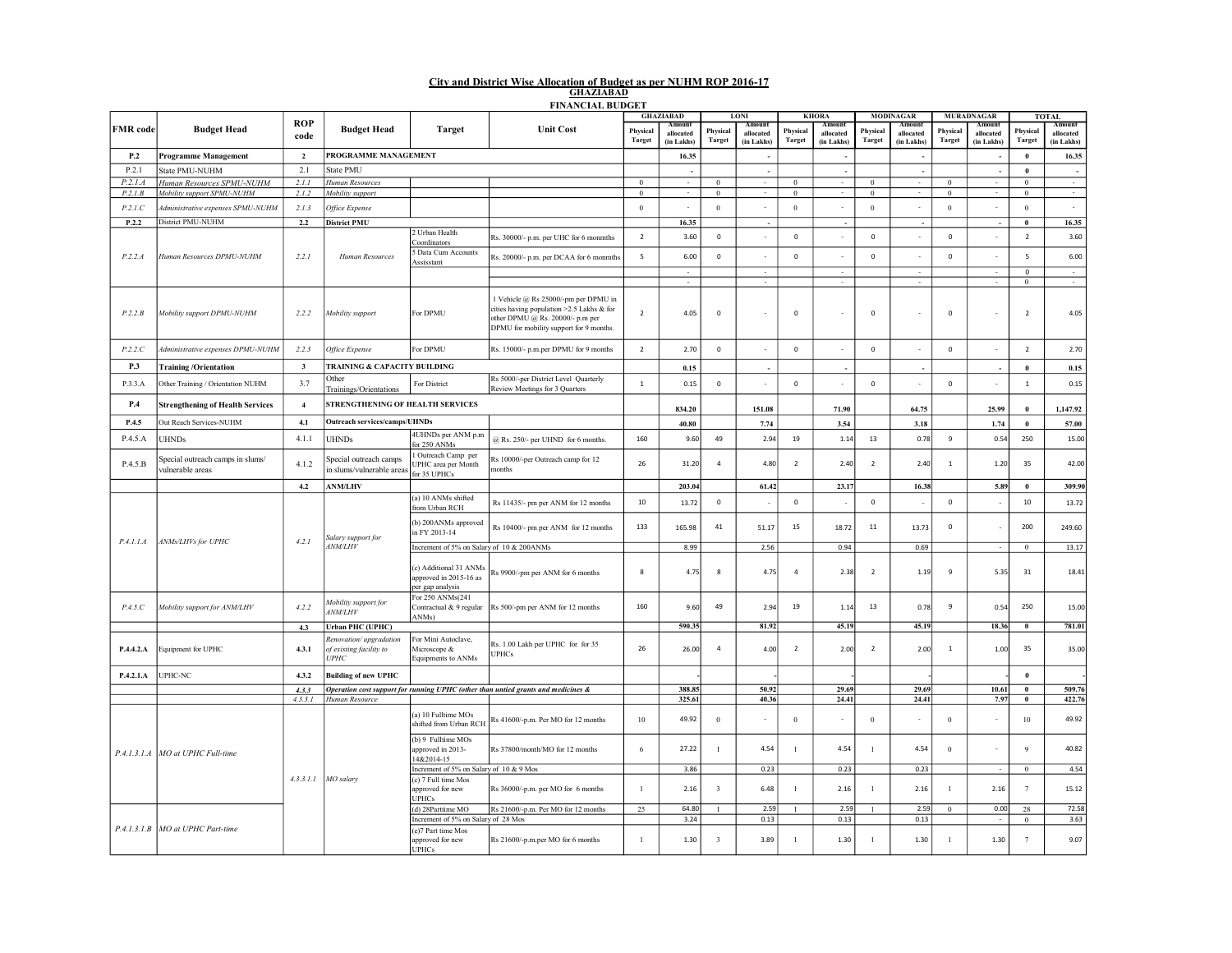## City and District Wise Allocation of Budget as per NUHM ROP 2016-17 GHAZIABAD FINANCIAL BUDGET

|                 |                                                      |                    |                                                                  |                                                                      |                                                                                                                                                                  | <b>GHAZIABAD</b>   |                                   | LONI                      |                                   | <b>KHORA</b>              |                                  | <b>MODINAGAR</b>          |                                   |                           | <b>MURADNAGAR</b>                        |                           | <b>TOTAL</b>                      |
|-----------------|------------------------------------------------------|--------------------|------------------------------------------------------------------|----------------------------------------------------------------------|------------------------------------------------------------------------------------------------------------------------------------------------------------------|--------------------|-----------------------------------|---------------------------|-----------------------------------|---------------------------|----------------------------------|---------------------------|-----------------------------------|---------------------------|------------------------------------------|---------------------------|-----------------------------------|
| <b>FMR</b> code | <b>Budget Head</b>                                   | <b>ROP</b><br>code | <b>Budget Head</b>                                               | <b>Target</b>                                                        | <b>Unit Cost</b>                                                                                                                                                 | Physical<br>Target | Amount<br>allocated<br>(in Lakhs) | Physical<br><b>Target</b> | Amount<br>allocated<br>(in Lakhs) | Physical<br><b>Target</b> | Amoun<br>allocated<br>(in Lakhs) | Physical<br><b>Target</b> | Amount<br>allocated<br>(in Lakhs) | Physical<br><b>Target</b> | <b>Amount</b><br>allocated<br>(in Lakhs) | Physical<br><b>Target</b> | Amount<br>allocated<br>(in Lakhs) |
| P.2             | <b>Programme Management</b>                          | $\overline{2}$     | PROGRAMME MANAGEMENT                                             |                                                                      |                                                                                                                                                                  |                    | 16.35                             |                           | $\overline{\phantom{a}}$          |                           | $\overline{\phantom{a}}$         |                           |                                   |                           |                                          | $\mathbf{0}$              | 16.35                             |
| P.2.1           | <b>State PMU-NUHM</b>                                | 2.1                | State PMU                                                        |                                                                      |                                                                                                                                                                  |                    |                                   |                           |                                   |                           | $\overline{\phantom{a}}$         |                           |                                   |                           |                                          | $\bf{0}$                  |                                   |
| P.2.1.A         | Human Resources SPMU-NUHM                            | 2.1.1              | Human Resources                                                  |                                                                      |                                                                                                                                                                  | $\bf{0}$           | $\mathcal{L}$                     | $\Omega$                  | $\sim$                            | $\bf{0}$                  | ÷                                | $\boldsymbol{0}$          | $\sim$                            | $\,0\,$                   | $\sim$                                   | $\,$ 0 $\,$               | $\sim$                            |
| P.2.1.B         | Mobility support SPMU-NUHM                           | 2.1.2              | Mobility support                                                 |                                                                      |                                                                                                                                                                  | $\bf{0}$           |                                   | $\mathbf{0}$              |                                   | $\mathbf{0}$              |                                  | $\boldsymbol{0}$          |                                   | $\boldsymbol{0}$          |                                          | $\bf{0}$                  |                                   |
| P.2.1.C         | Administrative expenses SPMU-NUHM                    | 2.1.3              | Office Expense                                                   |                                                                      |                                                                                                                                                                  | $\bf{0}$           | $\overline{\phantom{a}}$          | $\mathbf{0}$              | ÷                                 | $\theta$                  | $\overline{\phantom{a}}$         | $\theta$                  |                                   | $\bf 0$                   |                                          | $\boldsymbol{0}$          | $\sim$                            |
| P.2.2           | District PMU-NUHM                                    | 2.2                | <b>District PMU</b>                                              |                                                                      |                                                                                                                                                                  |                    | 16.35                             |                           |                                   |                           |                                  |                           |                                   |                           |                                          | $\bf{0}$                  | 16.35                             |
|                 |                                                      |                    |                                                                  | 2 Urban Health                                                       |                                                                                                                                                                  | $\overline{2}$     | 3.60                              | $\mathsf 0$               | $\sim$                            | $\mathbf 0$               |                                  | $\mathbf 0$               |                                   | $\mathbf 0$               |                                          | $\overline{2}$            |                                   |
|                 | Human Resources DPMU-NUHM                            | 2.2.1              | Human Resources                                                  | Coordinators                                                         | Rs. 30000/- p.m. per UHC for 6 monmths                                                                                                                           |                    |                                   |                           |                                   |                           |                                  |                           |                                   |                           |                                          |                           | 3.60                              |
| P.2.2.A         |                                                      |                    |                                                                  | Data Cum Accounts<br>Assisstant                                      | Rs. 20000/- p.m. per DCAA for 6 monmths                                                                                                                          | 5                  | 6.00                              | $\mathbf 0$               |                                   | $\mathbf 0$               |                                  | $\mathbf 0$               |                                   | $\mathbf 0$               |                                          | 5                         | 6.00                              |
|                 |                                                      |                    |                                                                  |                                                                      |                                                                                                                                                                  |                    | $\sim$                            |                           | $\sim$                            |                           | $\sim$<br>$\bar{a}$              |                           | $\sim$                            |                           | $\sim$<br>$\sim$                         | $\mathbf 0$<br>$\bf{0}$   | $\sim$                            |
| P.2.2.B         | Mobility support DPMU-NUHM                           | 2.2.2              | Mobility support                                                 | For DPMU                                                             | 1 Vehicle @ Rs 25000/-pm per DPMU in<br>cities having population >2.5 Lakhs & for<br>other DPMU @ Rs. 20000/- p.m per<br>DPMU for mobility support for 9 months. | $\overline{2}$     | 4.05                              | $\mathbf{0}$              |                                   | $\mathbf 0$               |                                  | $\mathbf 0$               |                                   | $\mathbf 0$               |                                          | $\overline{2}$            | 4.05                              |
| P.2.2.C         | Administrative expenses DPMU-NUHM                    | 2.2.3              | Office Expense                                                   | For DPMU                                                             | Rs. 15000/- p.m.per DPMU for 9 months                                                                                                                            | $\overline{2}$     | 2.70                              | $\mathbf 0$               |                                   | $\mathbf 0$               |                                  | $\mathbf 0$               |                                   | $\mathbf 0$               |                                          | $\overline{2}$            | 2.70                              |
| P.3             | <b>Training /Orientation</b>                         | $\mathbf{3}$       | TRAINING & CAPACITY BUILDING                                     |                                                                      |                                                                                                                                                                  |                    | 0.15                              |                           |                                   |                           |                                  |                           |                                   |                           |                                          | $\mathbf{0}$              | 0.15                              |
| P.3.3.A         | Other Training / Orientation NUHM                    | 3.7                | Other<br>Trainings/Orientations                                  | For District                                                         | Rs 5000/-per District Level Quarterly<br>Review Meetings for 3 Quarters                                                                                          | $\mathbf{1}$       | 0.15                              | $\mathbf 0$               |                                   | $\mathbb O$               | $\sim$                           | $\mathbf 0$               |                                   | $\mathbf 0$               |                                          | $\mathbf{1}$              | 0.15                              |
| P.4             | <b>Strengthening of Health Services</b>              | $\overline{4}$     | STRENGTHENING OF HEALTH SERVICES                                 |                                                                      |                                                                                                                                                                  |                    | 834.20                            |                           | 151.08                            |                           | 71.90                            |                           | 64.75                             |                           | 25.99                                    | $\mathbf{0}$              | 1,147.92                          |
| P.4.5           | Out Reach Services-NUHM                              | 4.1                | Outreach services/camps/UHNDs                                    |                                                                      |                                                                                                                                                                  |                    | 40.80                             |                           | 7.74                              |                           | 3.54                             |                           | 3.18                              |                           | 1.74                                     | $\mathbf{0}$              | 57.00                             |
| P.4.5.A         | <b>UHNDs</b>                                         | 4.1.1              | <b>UHNDs</b>                                                     | 4UHNDs per ANM p.m<br>for 250 ANMs                                   | @ Rs. 250/- per UHND for 6 months.                                                                                                                               | 160                | 9.60                              | 49                        | 2.94                              | 19                        | 1.14                             | 13                        | 0.78                              | $\,$ 9                    | 0.54                                     | 250                       | 15.00                             |
| P.4.5.B         | Special outreach camps in slums/<br>vulnerable areas | 4.1.2              | Special outreach camps<br>in slums/vulnerable areas              | Outreach Camp per<br>JPHC area per Month<br>for 35 UPHCs             | Rs 10000/-per Outreach camp for 12<br>months                                                                                                                     | 26                 | 31.20                             | $\overline{4}$            | 4.80                              | $\overline{2}$            | 2.40                             | $\overline{2}$            | 2.40                              | $\mathbf{1}$              | 1.20                                     | 35                        | 42.00                             |
|                 |                                                      | 4.2                | <b>ANM/LHV</b>                                                   |                                                                      |                                                                                                                                                                  |                    | 203.04                            |                           | 61.42                             |                           | 23.17                            |                           | 16.38                             |                           | 5.89                                     | $\mathbf 0$               | 309.90                            |
|                 | ANMs/LHVs for UPHC                                   | 4.2.1              | Salary support for<br><b>ANM/LHV</b>                             | (a) 10 ANMs shifted<br>from Urban RCH                                | Rs 11435/- pm per ANM for 12 months                                                                                                                              | 10                 | 13.72                             | $\mathsf 0$               |                                   | $\mathsf 0$               |                                  | $\mathbf 0$               |                                   | $\mathbb O$               |                                          | $10\,$                    | 13.72                             |
|                 |                                                      |                    |                                                                  | (b) 200ANMs approved<br>in FY 2013-14                                | Rs 10400/- pm per ANM for 12 months                                                                                                                              | 133                | 165.98                            | $41\,$                    | 51.17                             | $15\,$                    | 18.72                            | $11\,$                    | 13.73                             | $\mathbf 0$               |                                          | 200                       | 249.60                            |
| P.4.1.1.A       |                                                      |                    |                                                                  | Increment of 5% on Salary of 10 & 200ANMs                            |                                                                                                                                                                  |                    | 8.99                              |                           | 2.56                              |                           | 0.94                             |                           | 0.69                              |                           |                                          | $\bf{0}$                  | 13.17                             |
|                 |                                                      |                    |                                                                  | (c) Additional 31 ANMs<br>approved in 2015-16 as<br>per gap analysis | Rs 9900/-pm per ANM for 6 months                                                                                                                                 | 8                  | 4.75                              | 8                         | 4.75                              | $\overline{4}$            | 2.38                             | $\overline{2}$            | 1.19                              | 9                         | 5.35                                     | 31                        | 18.41                             |
| P.4.5.C         | Mobility support for ANM/LHV                         | 4.2.2              | Mobility support for<br><b>ANM/LHV</b>                           | For 250 ANMs(241<br>Contractual & 9 regular<br>ANMs)                 | Rs 500/-pm per ANM for 12 months                                                                                                                                 | 160                | 9.60                              | 49                        | 2.94                              | 19                        | 1.14                             | 13                        | 0.78                              | 9                         | 0.54                                     | 250                       | 15.00                             |
|                 |                                                      | 4.3                | <b>Urban PHC (UPHC)</b>                                          |                                                                      |                                                                                                                                                                  |                    | 590.35                            |                           | 81.92                             |                           | 45.19                            |                           | 45.19                             |                           | 18.36                                    | $\bf{0}$                  | 781.01                            |
| P.4.4.2.A       | quipment for UPHC                                    | 4.3.1              | Renovation/upgradation<br>of existing facility to<br><b>UPHC</b> | For Mini Autoclave,<br>Microscope &<br>Equipments to ANMs            | Rs. 1.00 Lakh per UPHC for for 35<br><b>UPHCs</b>                                                                                                                | 26                 | 26.00                             | 4                         | 4.00                              | $\overline{2}$            | 2.00                             | $\overline{2}$            | 2.00                              | $\,$ 1                    | 1.00                                     | 35                        | 35.00                             |
| P.4.2.1.A       | UPHC-NC                                              | 4.3.2              | <b>Building of new UPHC</b>                                      |                                                                      |                                                                                                                                                                  |                    |                                   |                           |                                   |                           |                                  |                           |                                   |                           |                                          | $\mathbf{0}$              |                                   |
|                 |                                                      | 4.3.3              |                                                                  |                                                                      | Operation cost support for running UPHC (other than untied grants and medicines &                                                                                |                    | 388.85                            |                           | 50.92                             |                           | 29.69                            |                           | 29.69                             |                           | 10.61                                    | $\bf{0}$                  | 509.76                            |
|                 |                                                      | 4.3.3.1            | Human Resource                                                   |                                                                      |                                                                                                                                                                  |                    | 325.61                            |                           | 40.36                             |                           | 24.41                            |                           | 24.41                             |                           | 7.97                                     | $\bf{0}$                  | 422.76                            |
|                 | P.4.1.3.1.A   MO at UPHC Full-time                   |                    | 4.3.3.1.1 MO salary                                              | (a) 10 Fulltime MOs<br>shifted from Urban RCH                        | Rs 41600/-p.m. Per MO for 12 months                                                                                                                              | 10                 | 49.92                             | $\boldsymbol{0}$          |                                   | $\mathbf{0}$              |                                  | $\boldsymbol{0}$          |                                   | $\boldsymbol{0}$          |                                          | $10\,$                    | 49.92                             |
|                 |                                                      |                    |                                                                  | (b) 9 Fulltime MOs<br>approved in 2013-<br>14&2014-15                | Rs 37800/month/MO for 12 months                                                                                                                                  | 6                  | 27.22                             | $\overline{1}$            | 4.54                              |                           | 4.54                             | $\mathbf{1}$              | 4.54                              | $\bf 0$                   |                                          | $\overline{9}$            | 40.82                             |
|                 |                                                      |                    |                                                                  | Increment of 5% on Salary of 10 & 9 Mos                              |                                                                                                                                                                  |                    | 3.86                              |                           | 0.23                              |                           | 0.23                             |                           | 0.23                              |                           |                                          | $\bf{0}$                  | 4.54                              |
|                 |                                                      |                    |                                                                  | (c) 7 Full time Mos<br>approved for new<br><b>UPHCs</b>              | Rs 36000/-p.m. per MO for 6 months                                                                                                                               | $\mathbf{1}$       | 2.16                              | $\overline{\mathbf{3}}$   | 6.48                              | 1                         | 2.16                             | $\mathbf{1}$              | 2.16                              | $\overline{1}$            | 2.16                                     | $7\phantom{.0}$           | 15.12                             |
|                 |                                                      |                    |                                                                  | (d) 28Parttime MO                                                    | Rs 21600/-p.m. Per MO for 12 months                                                                                                                              | 25                 | 64.80                             | $\mathbf{1}$              | 2.59                              | $\mathbf{1}$              | 2.59                             |                           | 2.59                              | $\mathbf{0}$              | 0.00                                     | 28                        | 72.58                             |
|                 | P.4.1.3.1.B   MO at UPHC Part-time                   |                    |                                                                  | Increment of 5% on Salary of 28 Mos<br>(e)7 Part time Mos            |                                                                                                                                                                  |                    | 3.24                              |                           | 0.13                              |                           | 0.13                             |                           | 0.13                              |                           | $\sim$                                   | $\bf{0}$                  | 3.63                              |
|                 |                                                      |                    |                                                                  | approved for new<br><b>UPHCs</b>                                     | Rs 21600/-p.m.per MO for 6 months                                                                                                                                | $\mathbf{1}$       | 1.30                              | 3                         | 3.89                              |                           | 1.30                             | $\mathbf{1}$              | 1.30                              | $\overline{1}$            | 1.30                                     | $\tau$                    | 9.07                              |